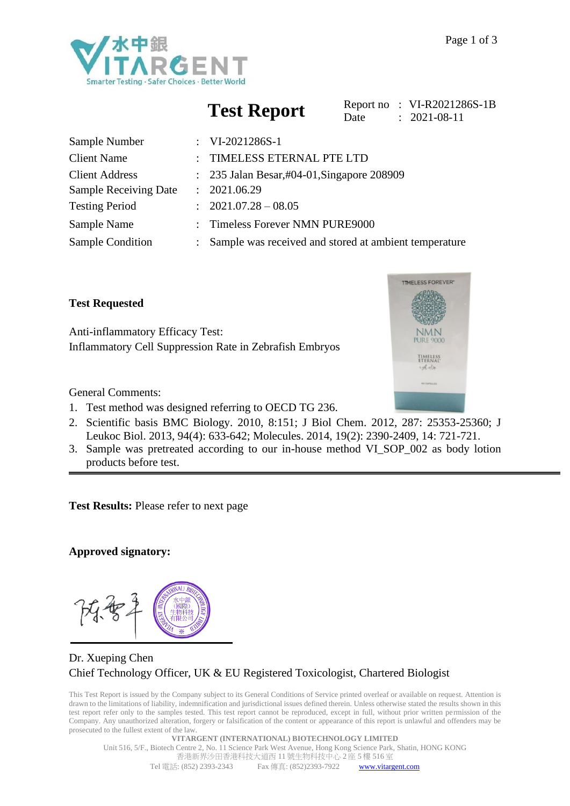

# **Test Report**

|      | Report no: VI-R2021286S-1B |
|------|----------------------------|
| Date | $: 2021 - 08 - 11$         |

| Sample Number                |               | : $VI-2021286S-1$                                     |
|------------------------------|---------------|-------------------------------------------------------|
| <b>Client Name</b>           |               | TIMELESS ETERNAL PTE LTD                              |
| <b>Client Address</b>        |               | $\therefore$ 235 Jalan Besar,#04-01, Singapore 208909 |
| <b>Sample Receiving Date</b> |               | : 2021.06.29                                          |
| <b>Testing Period</b>        |               | $: 2021.07.28 - 08.05$                                |
| Sample Name                  | $\mathcal{L}$ | <b>Timeless Forever NMN PURE9000</b>                  |
| <b>Sample Condition</b>      |               | Sample was received and stored at ambient temperature |

**Test Requested**

General Comments:

Anti-inflammatory Efficacy Test: Inflammatory Cell Suppression Rate in Zebrafish Embryos

- 1. Test method was designed referring to OECD TG 236.
- 2. Scientific basis BMC Biology. 2010, 8:151; J Biol Chem. 2012, 287: 25353-25360; J Leukoc Biol. 2013, 94(4): 633-642; Molecules. 2014, 19(2): 2390-2409, 14: 721-721.
- 3. Sample was pretreated according to our in-house method VI\_SOP\_002 as body lotion products before test.

**Test Results:** Please refer to next page

### **Approved signatory:**

### Dr. Xueping Chen Chief Technology Officer, UK & EU Registered Toxicologist, Chartered Biologist

This Test Report is issued by the Company subject to its General Conditions of Service printed overleaf or available on request. Attention is drawn to the limitations of liability, indemnification and jurisdictional issues defined therein. Unless otherwise stated the results shown in this test report refer only to the samples tested. This test report cannot be reproduced, except in full, without prior written permission of the Company. Any unauthorized alteration, forgery or falsification of the content or appearance of this report is unlawful and offenders may be prosecuted to the fullest extent of the law.

**VITARGENT (INTERNATIONAL) BIOTECHNOLOGY LIMITED** Unit 516, 5/F., Biotech Centre 2, No. 11 Science Park West Avenue, Hong Kong Science Park, Shatin, HONG KONG 香港新界沙田香港科技大道西 11 號生物科技中心 2 座 5 樓 516 室 Tel 電話: (852) 2393-2343 Fax 傳真: (852)2393-7922 [www.vitargent.com](http://www.vitargent.com/) 

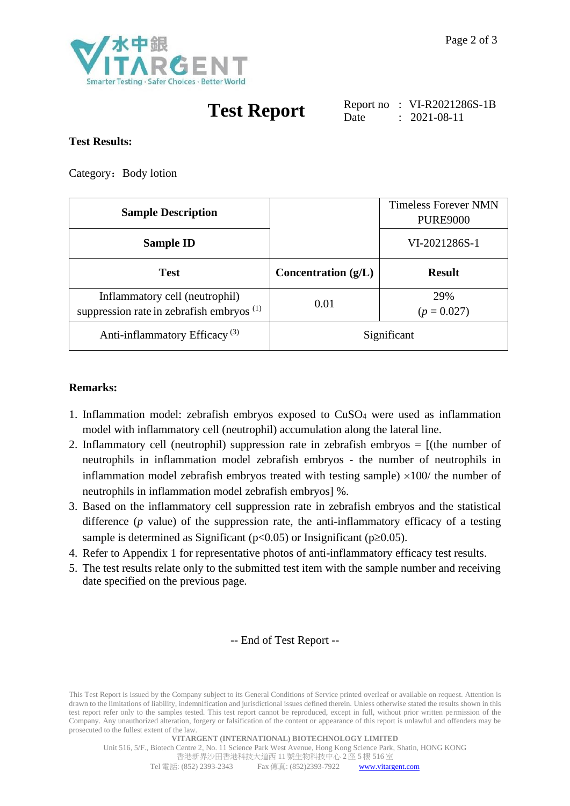

# **Test Report**

Report no : VI-R2021286S-1B Date : 2021-08-11

#### **Test Results:**

Category: Body lotion

| <b>Sample Description</b>                                                     |                       | <b>Timeless Forever NMN</b><br><b>PURE9000</b> |
|-------------------------------------------------------------------------------|-----------------------|------------------------------------------------|
| <b>Sample ID</b>                                                              |                       | VI-2021286S-1                                  |
| <b>Test</b>                                                                   | Concentration $(g/L)$ | <b>Result</b>                                  |
| Inflammatory cell (neutrophil)<br>suppression rate in zebrafish embryos $(1)$ | 0.01                  | 29%<br>$(p = 0.027)$                           |
| Anti-inflammatory Efficacy <sup>(3)</sup>                                     | Significant           |                                                |

#### **Remarks:**

- 1. Inflammation model: zebrafish embryos exposed to CuSO<sup>4</sup> were used as inflammation model with inflammatory cell (neutrophil) accumulation along the lateral line.
- 2. Inflammatory cell (neutrophil) suppression rate in zebrafish embryos = [(the number of neutrophils in inflammation model zebrafish embryos - the number of neutrophils in inflammation model zebrafish embryos treated with testing sample)  $\times 100/$  the number of neutrophils in inflammation model zebrafish embryos] %.
- 3. Based on the inflammatory cell suppression rate in zebrafish embryos and the statistical difference (*p* value) of the suppression rate, the anti-inflammatory efficacy of a testing sample is determined as Significant ( $p<0.05$ ) or Insignificant ( $p>0.05$ ).
- 4. Refer to Appendix 1 for representative photos of anti-inflammatory efficacy test results.
- 5. The test results relate only to the submitted test item with the sample number and receiving date specified on the previous page.

#### -- End of Test Report --

This Test Report is issued by the Company subject to its General Conditions of Service printed overleaf or available on request. Attention is drawn to the limitations of liability, indemnification and jurisdictional issues defined therein. Unless otherwise stated the results shown in this test report refer only to the samples tested. This test report cannot be reproduced, except in full, without prior written permission of the Company. Any unauthorized alteration, forgery or falsification of the content or appearance of this report is unlawful and offenders may be prosecuted to the fullest extent of the law.

Unit 516, 5/F., Biotech Centre 2, No. 11 Science Park West Avenue, Hong Kong Science Park, Shatin, HONG KONG 香港新界沙田香港科技大道西 11 號生物科技中心 2 座 5 樓 516 室